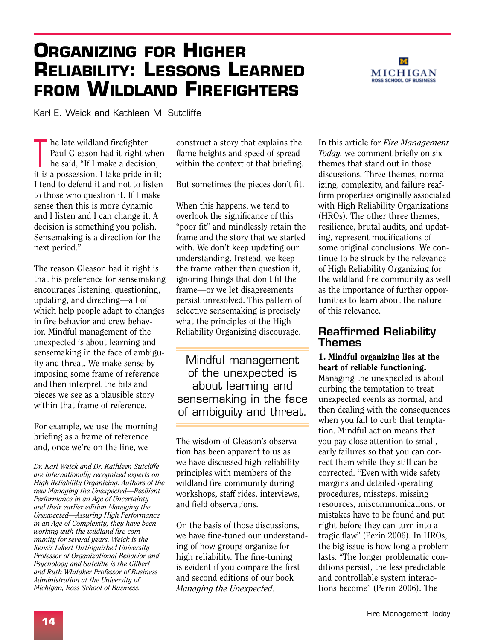# **Organizing for Higher Reliability: Lessons Learned from Wildland Firefighters**



Karl E. Weick and Kathleen M. Sutcliffe

 $\mathbf{I}$ he late wildland firefighter Paul Gleason had it right when he said, "If I make a decision, it is a possession. I take pride in it; I tend to defend it and not to listen to those who question it. If I make sense then this is more dynamic and I listen and I can change it. A decision is something you polish. Sensemaking is a direction for the next period."

The reason Gleason had it right is that his preference for sensemaking encourages listening, questioning, updating, and directing—all of which help people adapt to changes in fire behavior and crew behavior. Mindful management of the unexpected is about learning and sensemaking in the face of ambiguity and threat. We make sense by imposing some frame of reference and then interpret the bits and pieces we see as a plausible story within that frame of reference.

For example, we use the morning briefing as a frame of reference briefling as a frame of reference<br>and, once we're on the line, we  $\frac{1}{2}$  is  $\frac{1}{2}$  in  $\frac{1}{2}$  in  $\frac{1}{2}$  is  $\frac{1}{2}$  in  $\frac{1}{2}$  in  $\frac{1}{2}$  is  $\frac{1}{2}$  in  $\frac{1}{2}$  in  $\frac{1}{2}$  is  $\frac{1}{2}$  in  $\frac{1}{2}$  in

*Dr. Karl Weick and Dr. Kathleen Sutcliffe are internationally recognized experts on High Reliability Organizing. Authors of the new Managing the Unexpected—Resilient Performance in an Age of Uncertainty and their earlier edition Managing the Unexpected—Assuring High Performance in an Age of Complexity, they have been working with the wildland fire community for several years. Weick is the Rensis Likert Distinguished University Professor of Organizational Behavior and Psychology and Sutcliffe is the Gilbert and Ruth Whitaker Professor of Business Administration at the University of Michigan, Ross School of Business.*

construct a story that explains the flame heights and speed of spread within the context of that briefing.

But sometimes the pieces don't fit.

When this happens, we tend to overlook the significance of this "poor fit" and mindlessly retain the frame and the story that we started with. We don't keep updating our understanding. Instead, we keep the frame rather than question it, ignoring things that don't fit the frame—or we let disagreements persist unresolved. This pattern of selective sensemaking is precisely what the principles of the High Reliability Organizing discourage.

Mindful management of the unexpected is about learning and sensemaking in the face of ambiguity and threat.

tion has been apparent to us as we have discussed high reliability principles with members of the wildland fire community during workshops, staff rides, interviews, and field observations.

On the basis of those discussions, we have fine-tuned our understanding of how groups organize for high reliability. The fine-tuning is evident if you compare the first and second editions of our book *Managing the Unexpected*.

In this article for *Fire Management Today,* we comment briefly on six themes that stand out in those discussions. Three themes, normalizing, complexity, and failure reaffirm properties originally associated with High Reliability Organizations (HROs). The other three themes, resilience, brutal audits, and updating, represent modifications of some original conclusions. We continue to be struck by the relevance of High Reliability Organizing for the wildland fire community as well as the importance of further opportunities to learn about the nature of this relevance.

### Reaffirmed Reliability Themes

1. Mindful organizing lies at the heart of reliable functioning. Managing the unexpected is about curbing the temptation to treat unexpected events as normal, and then dealing with the consequences when you fail to curb that temptation. Mindful action means that you pay close attention to small, early failures so that you can correct them while they still can be corrected. "Even with wide safety margins and detailed operating procedures, missteps, missing resources, miscommunications, or mistakes have to be found and put right before they can turn into a tragic flaw" (Perin 2006). In HROs, the big issue is how long a problem lasts. "The longer problematic conditions persist, the less predictable and controllable system interactions become" (Perin 2006). The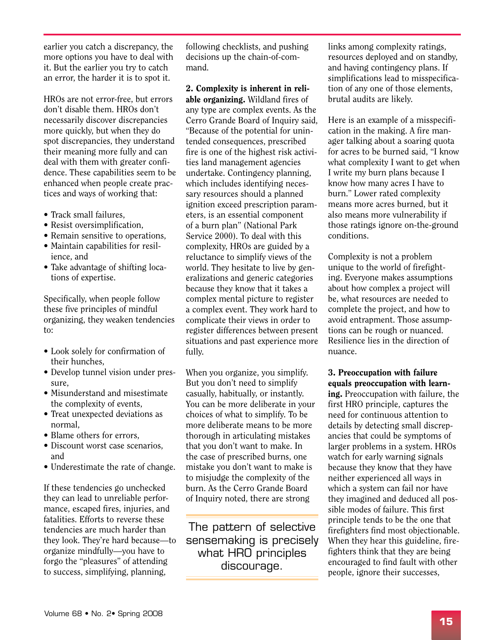earlier you catch a discrepancy, the more options you have to deal with it. But the earlier you try to catch an error, the harder it is to spot it.

HROs are not error-free, but errors don't disable them. HROs don't necessarily discover discrepancies more quickly, but when they do spot discrepancies, they understand their meaning more fully and can deal with them with greater confidence. These capabilities seem to be enhanced when people create practices and ways of working that:

- Track small failures.
- Resist oversimplification,
- Remain sensitive to operations,
- Maintain capabilities for resilience, and
- Take advantage of shifting locations of expertise.

Specifically, when people follow these five principles of mindful organizing, they weaken tendencies to:

- • Look solely for confirmation of their hunches,
- Develop tunnel vision under pressure,
- Misunderstand and misestimate the complexity of events,
- Treat unexpected deviations as normal,
- Blame others for errors,
- Discount worst case scenarios. and
- Underestimate the rate of change.

If these tendencies go unchecked they can lead to unreliable performance, escaped fires, injuries, and fatalities. Efforts to reverse these tendencies are much harder than they look. They're hard because—to organize mindfully—you have to forgo the "pleasures" of attending to success, simplifying, planning,

following checklists, and pushing decisions up the chain-of-command.

2. Complexity is inherent in reliable organizing. Wildland fires of any type are complex events. As the Cerro Grande Board of Inquiry said, "Because of the potential for unintended consequences, prescribed fire is one of the highest risk activities land management agencies undertake. Contingency planning, which includes identifying necessary resources should a planned ignition exceed prescription parameters, is an essential component of a burn plan" (National Park Service 2000). To deal with this complexity, HROs are guided by a reluctance to simplify views of the world. They hesitate to live by generalizations and generic categories because they know that it takes a complex mental picture to register a complex event. They work hard to complicate their views in order to register differences between present situations and past experience more fully.

When you organize, you simplify. But you don't need to simplify casually, habitually, or instantly. You can be more deliberate in your choices of what to simplify. To be more deliberate means to be more thorough in articulating mistakes that you don't want to make. In the case of prescribed burns, one mistake you don't want to make is to misjudge the complexity of the burn. As the Cerro Grande Board of Inquiry noted, there are strong

The pattern of selective sensemaking is precisely what HRO principles discourage.

links among complexity ratings, resources deployed and on standby, and having contingency plans. If simplifications lead to misspecification of any one of those elements, brutal audits are likely.

Here is an example of a misspecification in the making. A fire manager talking about a soaring quota for acres to be burned said, "I know what complexity I want to get when I write my burn plans because I know how many acres I have to burn." Lower rated complexity means more acres burned, but it also means more vulnerability if those ratings ignore on-the-ground conditions.

Complexity is not a problem unique to the world of firefighting. Everyone makes assumptions about how complex a project will be, what resources are needed to complete the project, and how to avoid entrapment. Those assumptions can be rough or nuanced. Resilience lies in the direction of nuance.

3. Preoccupation with failure equals preoccupation with learn-

ing. Preoccupation with failure, the first HRO principle, captures the need for continuous attention to details by detecting small discrepancies that could be symptoms of larger problems in a system. HROs watch for early warning signals because they know that they have neither experienced all ways in which a system can fail nor have they imagined and deduced all possible modes of failure. This first principle tends to be the one that firefighters find most objectionable. When they hear this guideline, firefighters think that they are being encouraged to find fault with other people, ignore their successes,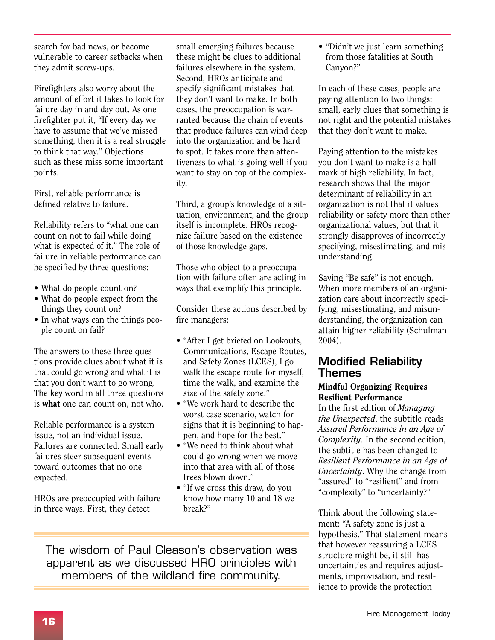search for bad news, or become vulnerable to career setbacks when they admit screw-ups.

Firefighters also worry about the amount of effort it takes to look for failure day in and day out. As one firefighter put it, "If every day we have to assume that we've missed something, then it is a real struggle to think that way." Objections such as these miss some important points.

First, reliable performance is defined relative to failure.

Reliability refers to "what one can count on not to fail while doing what is expected of it." The role of failure in reliable performance can be specified by three questions:

- What do people count on?
- What do people expect from the things they count on?
- In what ways can the things people count on fail?

The answers to these three questions provide clues about what it is that could go wrong and what it is that you don't want to go wrong. The key word in all three questions is what one can count on, not who.

Reliable performance is a system issue, not an individual issue. Failures are connected. Small early failures steer subsequent events toward outcomes that no one expected.

HROs are preoccupied with failure in three ways. First, they detect

small emerging failures because these might be clues to additional failures elsewhere in the system. Second, HROs anticipate and specify significant mistakes that they don't want to make. In both cases, the preoccupation is warranted because the chain of events that produce failures can wind deep into the organization and be hard to spot. It takes more than attentiveness to what is going well if you want to stay on top of the complexity.

Third, a group's knowledge of a situation, environment, and the group itself is incomplete. HROs recognize failure based on the existence of those knowledge gaps.

Those who object to a preoccupation with failure often are acting in ways that exemplify this principle.

Consider these actions described by fire managers:

- "After I get briefed on Lookouts, Communications, Escape Routes, and Safety Zones (LCES), I go walk the escape route for myself, time the walk, and examine the size of the safety zone."
- "We work hard to describe the worst case scenario, watch for signs that it is beginning to happen, and hope for the best."
- "We need to think about what could go wrong when we move into that area with all of those trees blown down."
- "If we cross this draw, do you know how many 10 and 18 we break?"

The wisdom of Paul Gleason's observation was apparent as we discussed HRO principles with members of the wildland fire community.

• "Didn't we just learn something" from those fatalities at South Canyon?"

In each of these cases, people are paying attention to two things: small, early clues that something is not right and the potential mistakes that they don't want to make.

Paying attention to the mistakes you don't want to make is a hallmark of high reliability. In fact, research shows that the major determinant of reliability in an organization is not that it values reliability or safety more than other organizational values, but that it strongly disapproves of incorrectly specifying, misestimating, and misunderstanding.

Saying "Be safe" is not enough. When more members of an organization care about incorrectly specifying, misestimating, and misunderstanding, the organization can attain higher reliability (Schulman 2004).

## Modified Reliability Themes

#### Mindful Organizing Requires Resilient Performance

In the first edition of *Managing the Unexpected*, the subtitle reads *Assured Performance in an Age of Complexity*. In the second edition, the subtitle has been changed to *Resilient Performance in an Age of Uncertainty*. Why the change from "assured" to "resilient" and from "complexity" to "uncertainty?"

Think about the following statement: "A safety zone is just a hypothesis." That statement means that however reassuring a LCES structure might be, it still has uncertainties and requires adjustments, improvisation, and resilience to provide the protection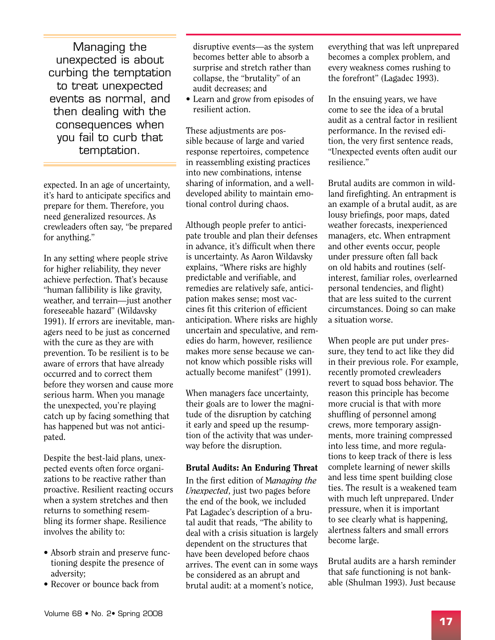Managing the unexpected is about curbing the temptation to treat unexpected events as normal, and then dealing with the consequences when you fail to curb that temptation.

expected. In an age of uncertainty, it's hard to anticipate specifics and prepare for them. Therefore, you need generalized resources. As crewleaders often say, "be prepared for anything."

In any setting where people strive for higher reliability, they never achieve perfection. That's because "human fallibility is like gravity, weather, and terrain—just another foreseeable hazard" (Wildavsky 1991). If errors are inevitable, managers need to be just as concerned with the cure as they are with prevention. To be resilient is to be aware of errors that have already occurred and to correct them before they worsen and cause more serious harm. When you manage the unexpected, you're playing catch up by facing something that has happened but was not anticipated.

Despite the best-laid plans, unexpected events often force organizations to be reactive rather than proactive. Resilient reacting occurs when a system stretches and then returns to something resembling its former shape. Resilience involves the ability to:

- Absorb strain and preserve functioning despite the presence of adversity;
- Recover or bounce back from

disruptive events—as the system becomes better able to absorb a surprise and stretch rather than collapse, the "brutality" of an audit decreases; and

• Learn and grow from episodes of resilient action.

These adjustments are possible because of large and varied response repertoires, competence in reassembling existing practices into new combinations, intense sharing of information, and a welldeveloped ability to maintain emotional control during chaos.

Although people prefer to anticipate trouble and plan their defenses in advance, it's difficult when there is uncertainty. As Aaron Wildavsky explains, "Where risks are highly predictable and verifiable, and remedies are relatively safe, anticipation makes sense; most vaccines fit this criterion of efficient anticipation. Where risks are highly uncertain and speculative, and remedies do harm, however, resilience makes more sense because we cannot know which possible risks will actually become manifest" (1991).

When managers face uncertainty, their goals are to lower the magnitude of the disruption by catching it early and speed up the resumption of the activity that was underway before the disruption.

#### Brutal Audits: An Enduring Threat

In the first edition of M*anaging the Unexpected*, just two pages before the end of the book, we included Pat Lagadec's description of a brutal audit that reads, "The ability to deal with a crisis situation is largely dependent on the structures that have been developed before chaos arrives. The event can in some ways be considered as an abrupt and brutal audit: at a moment's notice,

everything that was left unprepared becomes a complex problem, and every weakness comes rushing to the forefront" (Lagadec 1993).

In the ensuing years, we have come to see the idea of a brutal audit as a central factor in resilient performance. In the revised edition, the very first sentence reads, "Unexpected events often audit our resilience."

Brutal audits are common in wildland firefighting. An entrapment is an example of a brutal audit, as are lousy briefings, poor maps, dated weather forecasts, inexperienced managers, etc. When entrapment and other events occur, people under pressure often fall back on old habits and routines (selfinterest, familiar roles, overlearned personal tendencies, and flight) that are less suited to the current circumstances. Doing so can make a situation worse.

When people are put under pressure, they tend to act like they did in their previous role. For example, recently promoted crewleaders revert to squad boss behavior. The reason this principle has become more crucial is that with more shuffling of personnel among crews, more temporary assignments, more training compressed into less time, and more regulations to keep track of there is less complete learning of newer skills and less time spent building close ties. The result is a weakened team with much left unprepared. Under pressure, when it is important to see clearly what is happening, alertness falters and small errors become large.

Brutal audits are a harsh reminder that safe functioning is not bankable (Shulman 1993). Just because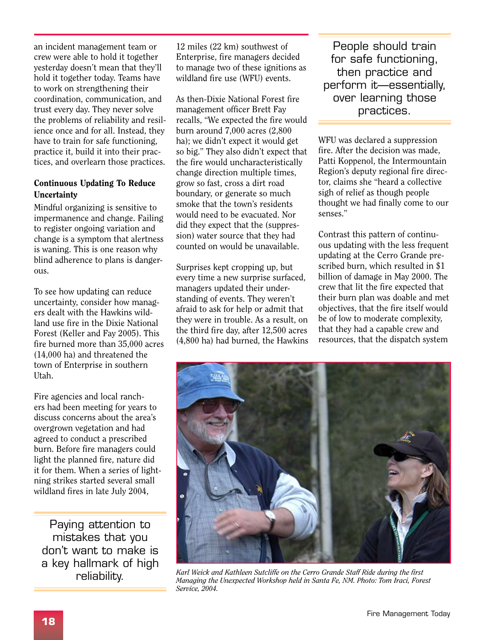an incident management team or crew were able to hold it together yesterday doesn't mean that they'll hold it together today. Teams have to work on strengthening their coordination, communication, and trust every day. They never solve the problems of reliability and resilience once and for all. Instead, they have to train for safe functioning, practice it, build it into their practices, and overlearn those practices.

#### Continuous Updating To Reduce **Uncertainty**

Mindful organizing is sensitive to impermanence and change. Failing to register ongoing variation and change is a symptom that alertness is waning. This is one reason why blind adherence to plans is dangerous.

To see how updating can reduce uncertainty, consider how managers dealt with the Hawkins wildland use fire in the Dixie National Forest (Keller and Fay 2005). This fire burned more than 35,000 acres (14,000 ha) and threatened the town of Enterprise in southern Utah.

Fire agencies and local ranchers had been meeting for years to discuss concerns about the area's overgrown vegetation and had agreed to conduct a prescribed burn. Before fire managers could light the planned fire, nature did it for them. When a series of lightning strikes started several small wildland fires in late July 2004,

Paying attention to mistakes that you don't want to make is a key hallmark of high reliability.

12 miles (22 km) southwest of Enterprise, fire managers decided to manage two of these ignitions as wildland fire use (WFU) events.

As then-Dixie National Forest fire management officer Brett Fay recalls, "We expected the fire would burn around 7,000 acres (2,800 ha); we didn't expect it would get so big." They also didn't expect that the fire would uncharacteristically change direction multiple times, grow so fast, cross a dirt road boundary, or generate so much smoke that the town's residents would need to be evacuated. Nor did they expect that the (suppression) water source that they had counted on would be unavailable.

Surprises kept cropping up, but every time a new surprise surfaced, managers updated their understanding of events. They weren't afraid to ask for help or admit that they were in trouble. As a result, on the third fire day, after 12,500 acres (4,800 ha) had burned, the Hawkins

People should train for safe functioning, then practice and perform it—essentially, over learning those practices.

WFU was declared a suppression fire. After the decision was made, Patti Koppenol, the Intermountain Region's deputy regional fire director, claims she "heard a collective sigh of relief as though people thought we had finally come to our senses."

Contrast this pattern of continuous updating with the less frequent updating at the Cerro Grande prescribed burn, which resulted in \$1 billion of damage in May 2000. The crew that lit the fire expected that their burn plan was doable and met objectives, that the fire itself would be of low to moderate complexity, that they had a capable crew and resources, that the dispatch system



*Karl Weick and Kathleen Sutcliffe on the Cerro Grande Staff Ride during the first Managing the Unexpected Workshop held in Santa Fe, NM. Photo: Tom Iraci, Forest Service, 2004.*